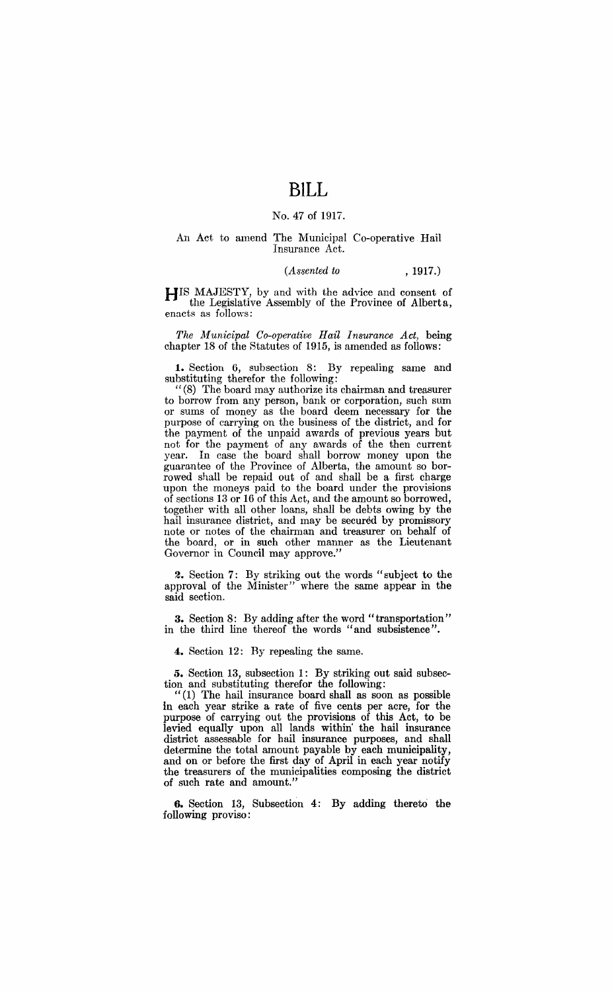# **BILL**

#### No. 47 of 1917.

#### An Act to amend The Municipal Co-operative Hail Insurance Act.

#### *(Assented to* , 1917.)

**HIS** MAJESTY, by and with the advice and consent of the Legislative Assembly of the Province of Alberta, enacts as follows:

*The Municipal Co-operative Hail Insurance Act.* being chapter 18 of the Statutes of 1915, is amended as follows:

**1.** Section 6, subsection 8: By repealing same and substituting therefor the following:

"(8) The board may authorize its chairman and treasurer to borrow from any person, bank or corporation, such sum or sums of money as the board deem necessary for the purpose of carrying on the business of the district, and for the payment of the unpaid awards of previous years but not for the payment of any awards of the then eurrent year. In case the board shall borrow money upon the guarantee of the Province of Alberta, the amount so borrowed shall be repaid out of and shall be a first charge upon the moneys paid to the board under the provisions  $\sigma$  sections 13 or 16 of this Act, and the amount so borrowed, together with all other loans, shull be debts owing by the hail insurance district, and may be secured by promissory note or notes of the chairman and treasurer on behalf of the board, or in such other manner as the Lieutenant Governor in Council may approve."

**2.** Section 7: By striking out the words" subject to the approval of the Minister" where the same appear in the said section.

**3.** Section 8: By adding after the word "transportation" in the third line thereof the words "and subsistence".

**4.** Section 12: By repealing the same.

**5.** Section 13, subsection 1: By striking out said subsection and substituting therefor the following:

"(1) The hail insurance board shall as soon as possible in each year strike a rate of five cents per acre, for the purpose of carrying out the provisions of this Act, to be levied equally upon all lands within' the hail insurance district assessable for hail insurance purposes, and shall determine the total amount payable by each municipality, and on or before the first day of April in each year notify the treasurers of the municipalities composing the district of such rate and amount."

**6.** Section 13, Subsection 4: By adding thereto the following proviso: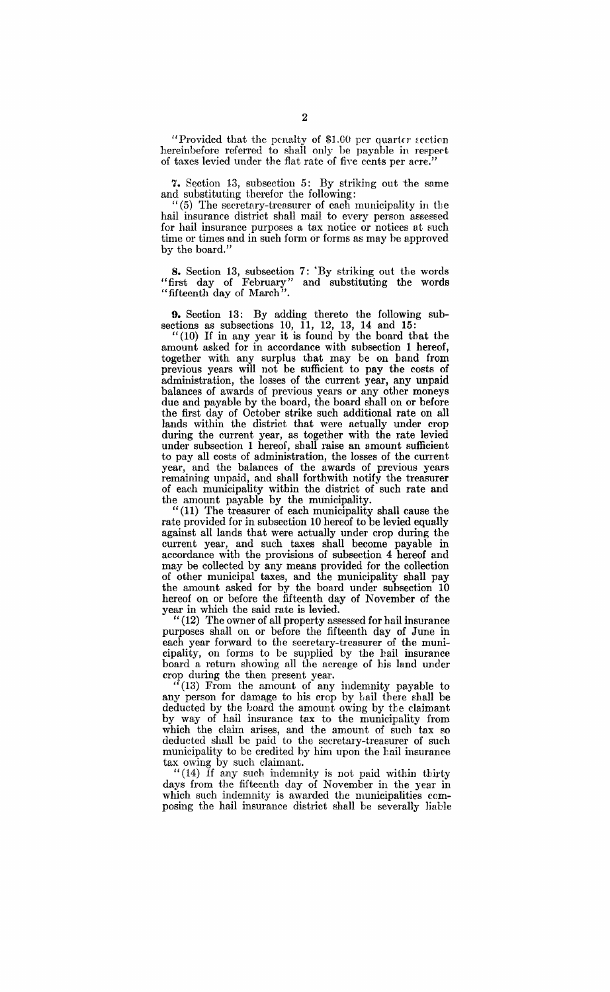"Provided that the penalty of  $$1.60$  per quarter section hereinbefore referred to shall only be payable in respeet of taxes levied under the flat rate of fiye cents per aere."

7. Section 13, subsection 5: By striking out the same and substituting therefor the following:

(5) The secretary-treasurer of each municipality in the hail insurance district shall mail to every person assessed for hail insurance purposes a tax notice or notices at such time or times and in such form or forms as may he approved by the board."

**8.** Section 13, subsection 7: 'By striking out the words "first day of February" and substituting the words "fifteenth day of March".

**9.** Section 13: By adding thereto the following sub-

sections as subsections 10, 11, 12, 13, 14 and 15:  $\cdot$  (10) If in any year it is found by the board that the amount asked for in accordance with subsection 1 hereof, together with any surplus that may be on hand from previous years will not be sufficient to pay the costs of administration, the losses of the current year, any unpaid balances of awards of previous years or any other moneys due and payable by the board, the board shall on or before the first day of October strike such additional rate on all lands within the district that were actually under crop during the current year, as together with the rate levied under subsection 1 hereof, shall raise an amount sufficient to pay all costs of administration, the losses of the current year, and the balances of the awards of previous years remaining unpaid, and shall forthwith notify the treasurer of each municipality within the district of such rate and the amount payable by the municipality.

 $111$  The treasurer of each municipality shall cause the rate provided for in subsection 10 hereof to be levied equally against all lands that were actually under crop during the current year, and such taxes shall become payable in accordance with the provisions of subsection 4 hereof and may be collected by any means provided for the collection of other municipal taxes, and the municipality shall pay the amount asked for by the board under subsection 10 hereof on or before the fifteenth day of November of the year in which the said rate is levied.

 $''(12)$  The owner of all property assessed for hail insurance purposes shall on or before the fifteenth day of June in each year forward to the secretary-treasurer of the municipality, on forms to be supplied by the hail insurance board a return showing all the acreage of his land under crop during the then present year.

 $I<sup>i</sup>(13)$  From the amount of any indemnity payable to any person for damage to his crop by hail there shall be deducted by the board the amount owing by tbe claimant by way of hail insurance tax to the municipality from which the claim arises, and the amount of such tax so deducted shall be paid to the secretary-treasurer of such municipality to be credited by him upon the hail insurance

tax owing by such claimant.<br>  $(14)$  If any such indemnity is not paid within thirty days from the fifteenth day of November in the year in which such indemnity is awarded the municipalities composing the hail insurance district shall be severally liable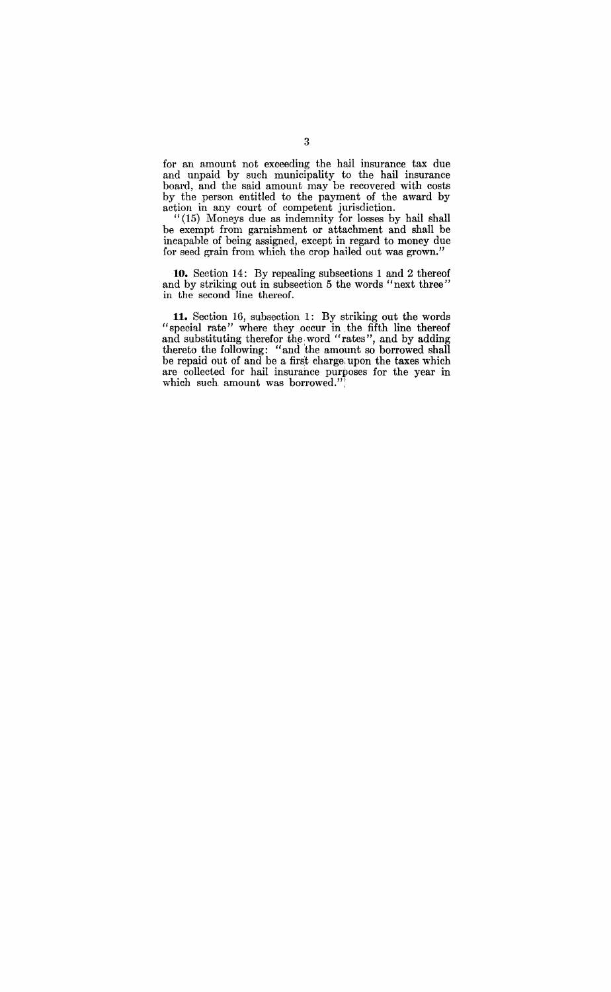for an amount not exceeding the hail insurance tax due and unpaid by such municipality to the hail insurance board, and the said amount may be recovered with costs by the person entitled to the payment of the award by action in any court of competent jurisdiction.

"(15) Moneys due as indemnity for losses by hail shall be exempt from garnishment or attachment and shall be incapable of being assigned, except in regard to money due for seed grain from which the crop hailed out was grown."

**10.** Section 14: By repealing subsections 1 and 2 thereof and by striking out in subsection 5 the words "next three" in the second line thereof.

**11.** Section 16, subsection 1: By striking out the words "special rate" where they occur in the fifth line thereof and substituting therefor the word "rates", and by adding thereto the following: "and 'the amount so borrowed shall be repaid out of and be a first charge upon the taxes which are collected for hail insurance purposes for the year in which such amount was borrowed."